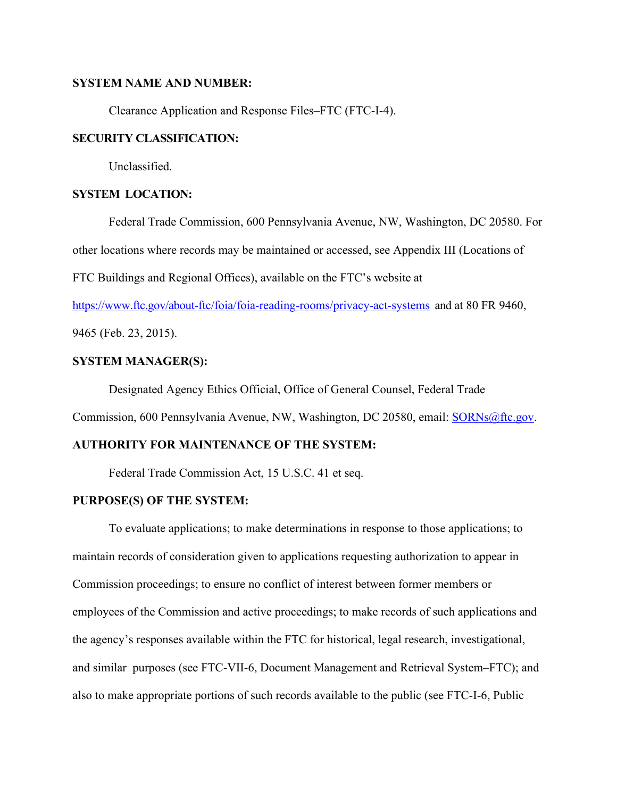## **SYSTEM NAME AND NUMBER:**

Clearance Application and Response Files–FTC (FTC-I-4).

## **SECURITY CLASSIFICATION:**

Unclassified.

## **SYSTEM LOCATION:**

Federal Trade Commission, 600 Pennsylvania Avenue, NW, Washington, DC 20580. For

other locations where records may be maintained or accessed, see Appendix III (Locations of

FTC Buildings and Regional Offices), available on the FTC's website at

https://www.ftc.gov/about-ftc/foia/foia-reading-rooms/privacy-act-systems and at 80 FR 9460,

9465 (Feb. 23, 2015).

# **SYSTEM MANAGER(S):**

Designated Agency Ethics Official, Office of General Counsel, Federal Trade

Commission, 600 Pennsylvania Avenue, NW, Washington, DC 20580, email: SORNs@ftc.gov.

## **AUTHORITY FOR MAINTENANCE OF THE SYSTEM:**

Federal Trade Commission Act, 15 U.S.C. 41 et seq.

### **PURPOSE(S) OF THE SYSTEM:**

 To evaluate applications; to make determinations in response to those applications; to maintain records of consideration given to applications requesting authorization to appear in Commission proceedings; to ensure no conflict of interest between former members or employees of the Commission and active proceedings; to make records of such applications and the agency's responses available within the FTC for historical, legal research, investigational, and similar purposes (see FTC-VII-6, Document Management and Retrieval System–FTC); and also to make appropriate portions of such records available to the public (see FTC-I-6, Public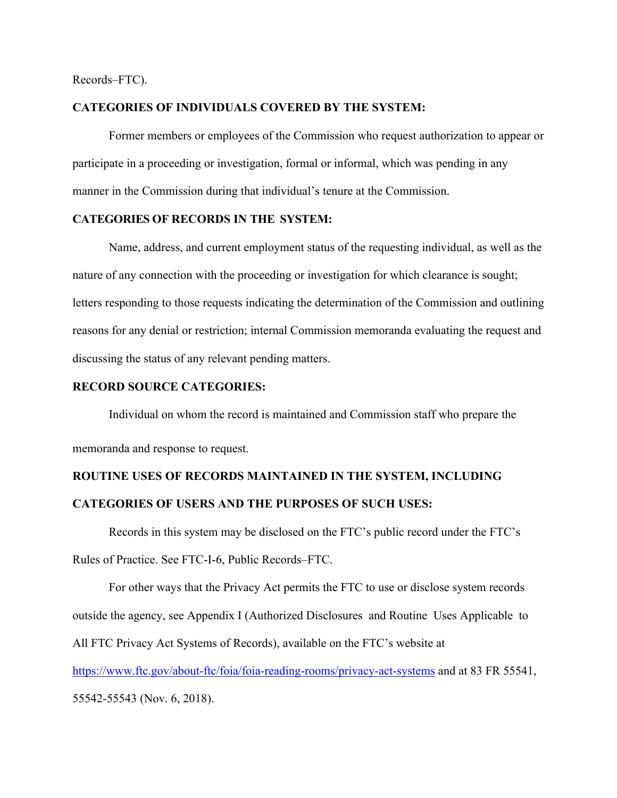Records–FTC).

## **CATEGORIES OF INDIVIDUALS COVERED BY THE SYSTEM:**

Former members or employees of the Commission who request authorization to appear or participate in a proceeding or investigation, formal or informal, which was pending in any manner in the Commission during that individual's tenure at the Commission.

## **CATEGORIES OF RECORDS IN THE SYSTEM:**

Name, address, and current employment status of the requesting individual, as well as the nature of any connection with the proceeding or investigation for which clearance is sought; letters responding to those requests indicating the determination of the Commission and outlining reasons for any denial or restriction; internal Commission memoranda evaluating the request and discussing the status of any relevant pending matters.

## **RECORD SOURCE CATEGORIES:**

 Individual on whom the record is maintained and Commission staff who prepare the memoranda and response to request.

# **ROUTINE USES OF RECORDS MAINTAINED IN THE SYSTEM, INCLUDING CATEGORIES OF USERS AND THE PURPOSES OF SUCH USES:**

Records in this system may be disclosed on the FTC's public record under the FTC's Rules of Practice. See FTC-I-6, Public Records–FTC.

For other ways that the Privacy Act permits the FTC to use or disclose system records outside the agency, see Appendix I (Authorized Disclosures and Routine Uses Applicable to All FTC Privacy Act Systems of Records), available on the FTC's website at https://www.ftc.gov/about-ftc/foia/foia-reading-rooms/privacy-act-systems and at 83 FR 55541, 55542-55543 (Nov. 6, 2018).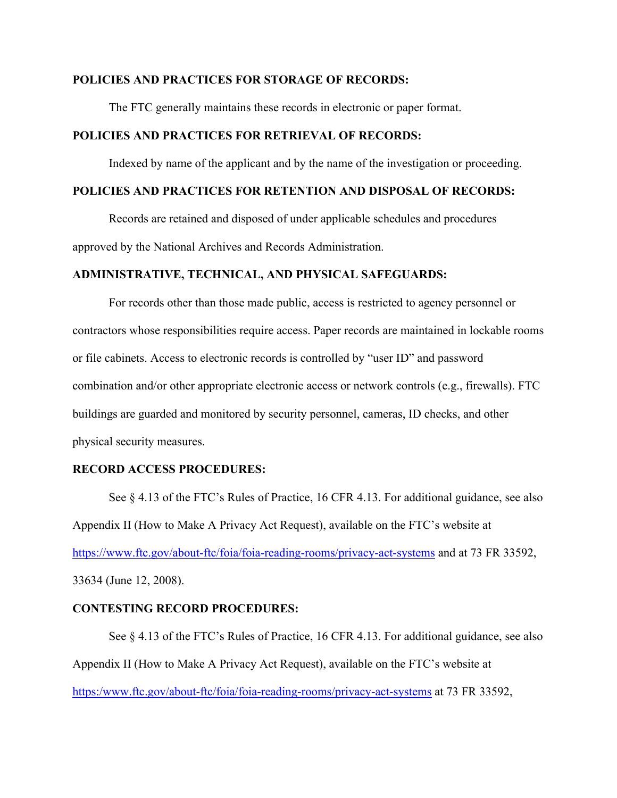#### **POLICIES AND PRACTICES FOR STORAGE OF RECORDS:**

The FTC generally maintains these records in electronic or paper format.

# **POLICIES AND PRACTICES FOR RETRIEVAL OF RECORDS:**

Indexed by name of the applicant and by the name of the investigation or proceeding.

# **POLICIES AND PRACTICES FOR RETENTION AND DISPOSAL OF RECORDS:**

Records are retained and disposed of under applicable schedules and procedures approved by the National Archives and Records Administration.

#### **ADMINISTRATIVE, TECHNICAL, AND PHYSICAL SAFEGUARDS:**

For records other than those made public, access is restricted to agency personnel or contractors whose responsibilities require access. Paper records are maintained in lockable rooms or file cabinets. Access to electronic records is controlled by "user ID" and password combination and/or other appropriate electronic access or network controls (e.g., firewalls). FTC buildings are guarded and monitored by security personnel, cameras, ID checks, and other physical security measures.

#### **RECORD ACCESS PROCEDURES:**

See § 4.13 of the FTC's Rules of Practice, 16 CFR 4.13. For additional guidance, see also Appendix II (How to Make A Privacy Act Request), available on the FTC's website at https://www.ftc.gov/about-ftc/foia/foia-reading-rooms/privacy-act-systems and at 73 FR 33592, 33634 (June 12, 2008).

#### **CONTESTING RECORD PROCEDURES:**

See § 4.13 of the FTC's Rules of Practice, 16 CFR 4.13. For additional guidance, see also Appendix II (How to Make A Privacy Act Request), available on the FTC's website at https:/www.ftc.gov/about-ftc/foia/foia-reading-rooms/privacy-act-systems at 73 FR 33592,